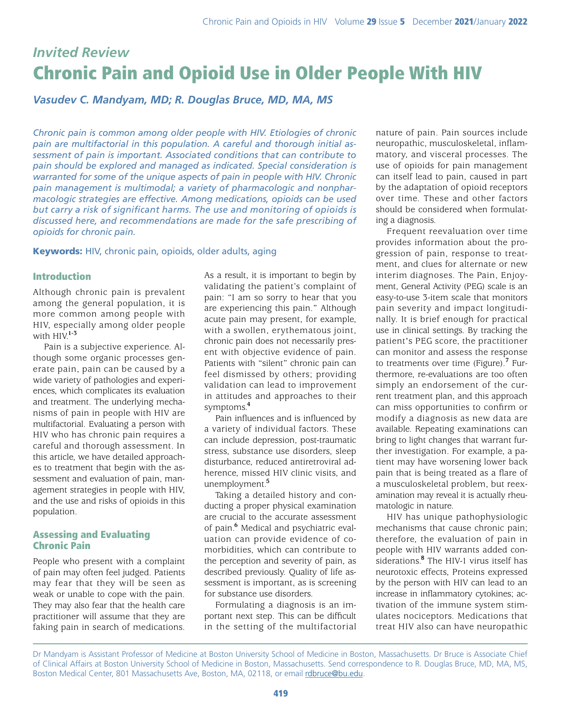# *Invited Review* Chronic Pain and Opioid Use in Older People With HIV

*Vasudev C. Mandyam, MD; R. Douglas Bruce, MD, MA, MS*

*Chronic pain is common among older people with HIV. Etiologies of chronic pain are multifactorial in this population. A careful and thorough initial assessment of pain is important. Associated conditions that can contribute to pain should be explored and managed as indicated. Special consideration is warranted for some of the unique aspects of pain in people with HIV. Chronic pain management is multimodal; a variety of pharmacologic and nonpharmacologic strategies are effective. Among medications, opioids can be used but carry a risk of significant harms. The use and monitoring of opioids is discussed here, and recommendations are made for the safe prescribing of opioids for chronic pain.*

Keywords: HIV, chronic pain, opioids, older adults, aging

### Introduction

Although chronic pain is prevalent among the general population, it is more common among people with HIV, especially among older people with HIV.**1-3**

Pain is a subjective experience. Although some organic processes generate pain, pain can be caused by a wide variety of pathologies and experiences, which complicates its evaluation and treatment. The underlying mechanisms of pain in people with HIV are multifactorial. Evaluating a person with HIV who has chronic pain requires a careful and thorough assessment. In this article, we have detailed approaches to treatment that begin with the assessment and evaluation of pain, management strategies in people with HIV, and the use and risks of opioids in this population.

## Assessing and Evaluating Chronic Pain

People who present with a complaint of pain may often feel judged. Patients may fear that they will be seen as weak or unable to cope with the pain. They may also fear that the health care practitioner will assume that they are faking pain in search of medications.

As a result, it is important to begin by validating the patient's complaint of pain: "I am so sorry to hear that you are experiencing this pain." Although acute pain may present, for example, with a swollen, erythematous joint, chronic pain does not necessarily present with objective evidence of pain. Patients with "silent" chronic pain can feel dismissed by others; providing validation can lead to improvement in attitudes and approaches to their symptoms.**<sup>4</sup>**

Pain influences and is influenced by a variety of individual factors. These can include depression, post-traumatic stress, substance use disorders, sleep disturbance, reduced antiretroviral adherence, missed HIV clinic visits, and unemployment.**<sup>5</sup>**

Taking a detailed history and conducting a proper physical examination are crucial to the accurate assessment of pain.**<sup>6</sup>** Medical and psychiatric evaluation can provide evidence of comorbidities, which can contribute to the perception and severity of pain, as described previously. Quality of life assessment is important, as is screening for substance use disorders.

Formulating a diagnosis is an important next step. This can be difficult in the setting of the multifactorial nature of pain. Pain sources include neuropathic, musculoskeletal, inflammatory, and visceral processes. The use of opioids for pain management can itself lead to pain, caused in part by the adaptation of opioid receptors over time. These and other factors should be considered when formulating a diagnosis.

Frequent reevaluation over time provides information about the progression of pain, response to treatment, and clues for alternate or new interim diagnoses. The Pain, Enjoyment, General Activity (PEG) scale is an easy-to-use 3-item scale that monitors pain severity and impact longitudinally. It is brief enough for practical use in clinical settings. By tracking the patient's PEG score, the practitioner can monitor and assess the response to treatments over time (Figure).**<sup>7</sup>** Furthermore, re-evaluations are too often simply an endorsement of the current treatment plan, and this approach can miss opportunities to confirm or modify a diagnosis as new data are available. Repeating examinations can bring to light changes that warrant further investigation. For example, a patient may have worsening lower back pain that is being treated as a flare of a musculoskeletal problem, but reexamination may reveal it is actually rheumatologic in nature.

HIV has unique pathophysiologic mechanisms that cause chronic pain; therefore, the evaluation of pain in people with HIV warrants added considerations.**<sup>8</sup>** The HIV-1 virus itself has neurotoxic effects, Proteins expressed by the person with HIV can lead to an increase in inflammatory cytokines; activation of the immune system stimulates nociceptors. Medications that treat HIV also can have neuropathic

Dr Mandyam is Assistant Professor of Medicine at Boston University School of Medicine in Boston, Massachusetts. Dr Bruce is Associate Chief of Clinical Affairs at Boston University School of Medicine in Boston, Massachusetts. Send correspondence to R. Douglas Bruce, MD, MA, MS, Boston Medical Center, 801 Massachusetts Ave, Boston, MA, 02118, or email [rdbruce@bu.edu](mailto:rdbruce@bu.edu).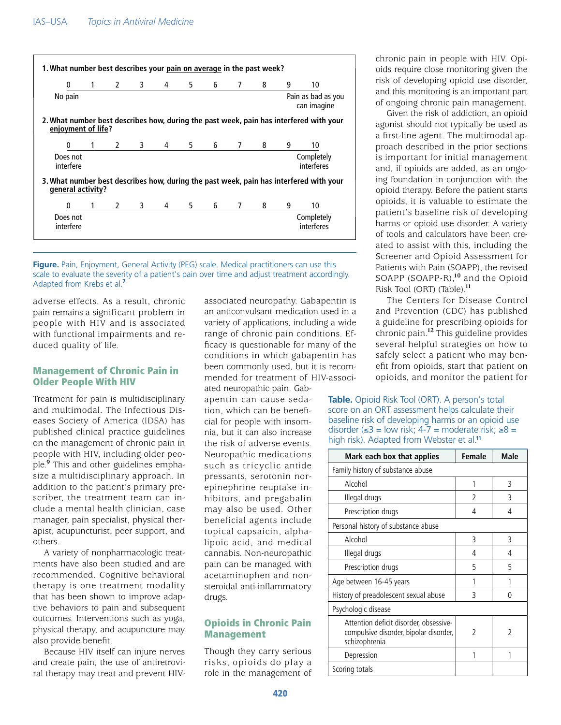| 0                                  | $\mathbf{1}$             | $2^{\sim}$     | $3^{\circ}$ | 4              | 5           | 6   | 7              | 8 | 9                                 | 10                                                                                           |  |
|------------------------------------|--------------------------|----------------|-------------|----------------|-------------|-----|----------------|---|-----------------------------------|----------------------------------------------------------------------------------------------|--|
| No pain                            |                          |                |             |                |             |     |                |   | Pain as bad as you<br>can imagine |                                                                                              |  |
| enjoyment of life?                 |                          |                |             |                |             |     |                |   |                                   | 2. What number best describes how, during the past week, pain has interfered with your       |  |
| 0                                  | $\overline{\phantom{a}}$ | $\overline{2}$ |             | $3 \t 4$       | $5^{\circ}$ | 6 — | 7              | 8 | 9                                 | 10                                                                                           |  |
| Does not<br>interfere              |                          |                |             |                |             |     |                |   |                                   | Completely<br>interferes                                                                     |  |
|                                    |                          |                |             |                |             |     |                | 8 | 9                                 | 3. What number best describes how, during the past week, pain has interfered with your<br>10 |  |
|                                    |                          |                |             |                |             |     |                |   |                                   |                                                                                              |  |
| general activity?<br>0<br>Does not | 1                        | $2^{\sim}$     | $3^{\circ}$ | $\overline{4}$ | $5^{\circ}$ | 6 — | $\overline{7}$ |   |                                   | Completely                                                                                   |  |

**Figure.** Pain, Enjoyment, General Activity (PEG) scale. Medical practitioners can use this scale to evaluate the severity of a patient's pain over time and adjust treatment accordingly. Adapted from Krebs et al.**<sup>7</sup>**

adverse effects. As a result, chronic pain remains a significant problem in people with HIV and is associated with functional impairments and reduced quality of life.

### Management of Chronic Pain in Older People With HIV

Treatment for pain is multidisciplinary and multimodal. The Infectious Diseases Society of America (IDSA) has published clinical practice guidelines on the management of chronic pain in people with HIV, including older people.**<sup>9</sup>** This and other guidelines emphasize a multidisciplinary approach. In addition to the patient's primary prescriber, the treatment team can include a mental health clinician, case manager, pain specialist, physical therapist, acupuncturist, peer support, and others.

A variety of nonpharmacologic treatments have also been studied and are recommended. Cognitive behavioral therapy is one treatment modality that has been shown to improve adaptive behaviors to pain and subsequent outcomes. Interventions such as yoga, physical therapy, and acupuncture may also provide benefit.

Because HIV itself can injure nerves and create pain, the use of antiretroviral therapy may treat and prevent HIV- associated neuropathy. Gabapentin is an anticonvulsant medication used in a variety of applications, including a wide range of chronic pain conditions. Efficacy is questionable for many of the conditions in which gabapentin has been commonly used, but it is recommended for treatment of HIV-associated neuropathic pain. Gab-

apentin can cause sedation, which can be beneficial for people with insomnia, but it can also increase the risk of adverse events. Neuropathic medications such as tricyclic antide pressants, serotonin norepinephrine reuptake inhibitors, and pregabalin may also be used. Other beneficial agents include topical capsaicin, alphalipoic acid, and medical cannabis. Non-neuropathic pain can be managed with acetaminophen and nonsteroidal anti-inflammatory drugs.

## Opioids in Chronic Pain Management

Though they carry serious risks, opioids do play a role in the management of chronic pain in people with HIV. Opioids require close monitoring given the risk of developing opioid use disorder, and this monitoring is an important part of ongoing chronic pain management.

Given the risk of addiction, an opioid agonist should not typically be used as a first-line agent. The multimodal approach described in the prior sections is important for initial management and, if opioids are added, as an ongoing foundation in conjunction with the opioid therapy. Before the patient starts opioids, it is valuable to estimate the patient's baseline risk of developing harms or opioid use disorder. A variety of tools and calculators have been created to assist with this, including the Screener and Opioid Assessment for Patients with Pain (SOAPP), the revised SOAPP (SOAPP-R),**<sup>10</sup>** and the Opioid Risk Tool (ORT) (Table).**<sup>11</sup>**

The Centers for Disease Control and Prevention (CDC) has published a guideline for prescribing opioids for chronic pain.**<sup>12</sup>** This guideline provides several helpful strategies on how to safely select a patient who may benefit from opioids, start that patient on opioids, and monitor the patient for

**Table.** Opioid Risk Tool (ORT). A person's total score on an ORT assessment helps calculate their baseline risk of developing harms or an opioid use disorder (≤3 = low risk; 4-7 = moderate risk; ≥8 = high risk). Adapted from Webster et al.**<sup>11</sup>**

| Mark each box that applies                                                                        | <b>Female</b> | Male |
|---------------------------------------------------------------------------------------------------|---------------|------|
| Family history of substance abuse                                                                 |               |      |
| Alcohol                                                                                           | 1             | 3    |
| Illegal drugs                                                                                     | $\mathcal{P}$ | 3    |
| Prescription drugs                                                                                | 4             | 4    |
| Personal history of substance abuse                                                               |               |      |
| Alcohol                                                                                           | 3             | 3    |
| Illegal drugs                                                                                     | 4             | 4    |
| Prescription drugs                                                                                | 5             | 5    |
| Age between 16-45 years                                                                           | 1             |      |
| History of preadolescent sexual abuse                                                             | 3             | Λ    |
| Psychologic disease                                                                               |               |      |
| Attention deficit disorder, obsessive-<br>compulsive disorder, bipolar disorder,<br>schizophrenia | $\mathcal{P}$ | 2    |
| Depression                                                                                        | 1             |      |
| Scoring totals                                                                                    |               |      |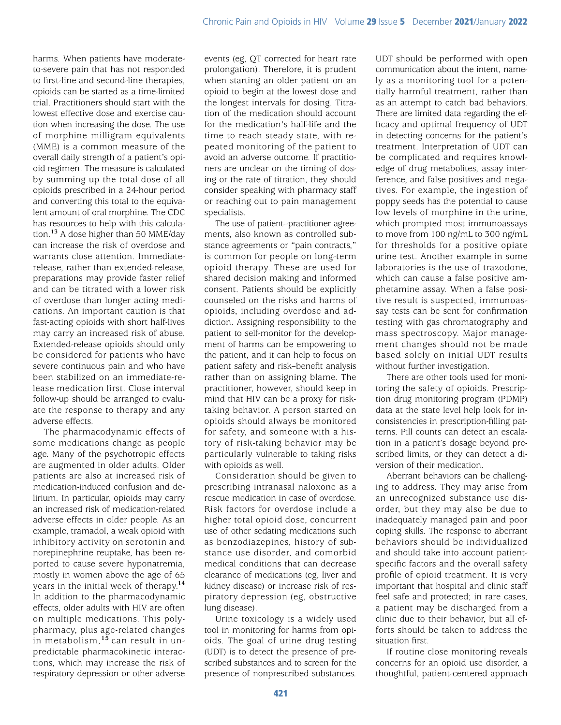harms. When patients have moderateto-severe pain that has not responded to first-line and second-line therapies, opioids can be started as a time-limited trial. Practitioners should start with the lowest effective dose and exercise caution when increasing the dose. The use of morphine milligram equivalents (MME) is a common measure of the overall daily strength of a patient's opioid regimen. The measure is calculated by summing up the total dose of all opioids prescribed in a 24-hour period and converting this total to the equivalent amount of oral morphine. The CDC has resources to help with this calculation.**<sup>13</sup>** A dose higher than 50 MME/day can increase the risk of overdose and warrants close attention. Immediaterelease, rather than extended-release, preparations may provide faster relief and can be titrated with a lower risk of overdose than longer acting medications. An important caution is that fast-acting opioids with short half-lives may carry an increased risk of abuse. Extended-release opioids should only be considered for patients who have severe continuous pain and who have been stabilized on an immediate-release medication first. Close interval follow-up should be arranged to evaluate the response to therapy and any adverse effects.

The pharmacodynamic effects of some medications change as people age. Many of the psychotropic effects are augmented in older adults. Older patients are also at increased risk of medication-induced confusion and delirium. In particular, opioids may carry an increased risk of medication-related adverse effects in older people. As an example, tramadol, a weak opioid with inhibitory activity on serotonin and norepinephrine reuptake, has been reported to cause severe hyponatremia, mostly in women above the age of 65 years in the initial week of therapy.**<sup>14</sup>** In addition to the pharmacodynamic effects, older adults with HIV are often on multiple medications. This polypharmacy, plus age-related changes in metabolism,**<sup>15</sup>**can result in unpredictable pharmacokinetic interactions, which may increase the risk of respiratory depression or other adverse

events (eg, QT corrected for heart rate prolongation). Therefore, it is prudent when starting an older patient on an opioid to begin at the lowest dose and the longest intervals for dosing. Titration of the medication should account for the medication's half-life and the time to reach steady state, with repeated monitoring of the patient to avoid an adverse outcome. If practitioners are unclear on the timing of dosing or the rate of titration, they should consider speaking with pharmacy staff or reaching out to pain management specialists.

The use of patient–practitioner agreements, also known as controlled substance agreements or "pain contracts," is common for people on long-term opioid therapy. These are used for shared decision making and informed consent. Patients should be explicitly counseled on the risks and harms of opioids, including overdose and addiction. Assigning responsibility to the patient to self-monitor for the development of harms can be empowering to the patient, and it can help to focus on patient safety and risk–benefit analysis rather than on assigning blame. The practitioner, however, should keep in mind that HIV can be a proxy for risktaking behavior. A person started on opioids should always be monitored for safety, and someone with a history of risk-taking behavior may be particularly vulnerable to taking risks with opioids as well.

Consideration should be given to prescribing intranasal naloxone as a rescue medication in case of overdose. Risk factors for overdose include a higher total opioid dose, concurrent use of other sedating medications such as benzodiazepines, history of substance use disorder, and comorbid medical conditions that can decrease clearance of medications (eg, liver and kidney disease) or increase risk of respiratory depression (eg, obstructive lung disease).

Urine toxicology is a widely used tool in monitoring for harms from opioids. The goal of urine drug testing (UDT) is to detect the presence of prescribed substances and to screen for the presence of nonprescribed substances.

UDT should be performed with open communication about the intent, namely as a monitoring tool for a potentially harmful treatment, rather than as an attempt to catch bad behaviors. There are limited data regarding the efficacy and optimal frequency of UDT in detecting concerns for the patient's treatment. Interpretation of UDT can be complicated and requires knowledge of drug metabolites, assay interference, and false positives and negatives. For example, the ingestion of poppy seeds has the potential to cause low levels of morphine in the urine, which prompted most immunoassays to move from 100 ng/mL to 300 ng/mL for thresholds for a positive opiate urine test. Another example in some laboratories is the use of trazodone, which can cause a false positive amphetamine assay. When a false positive result is suspected, immunoassay tests can be sent for confirmation testing with gas chromatography and mass spectroscopy. Major management changes should not be made based solely on initial UDT results without further investigation.

There are other tools used for monitoring the safety of opioids. Prescription drug monitoring program (PDMP) data at the state level help look for inconsistencies in prescription-filling patterns. Pill counts can detect an escalation in a patient's dosage beyond prescribed limits, or they can detect a diversion of their medication.

Aberrant behaviors can be challenging to address. They may arise from an unrecognized substance use disorder, but they may also be due to inadequately managed pain and poor coping skills. The response to aberrant behaviors should be individualized and should take into account patientspecific factors and the overall safety profile of opioid treatment. It is very important that hospital and clinic staff feel safe and protected; in rare cases, a patient may be discharged from a clinic due to their behavior, but all efforts should be taken to address the situation first.

If routine close monitoring reveals concerns for an opioid use disorder, a thoughtful, patient-centered approach